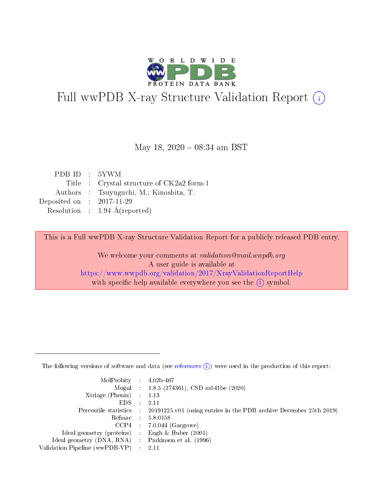

# Full wwPDB X-ray Structure Validation Report (i)

#### May 18, 2020 - 08:34 am BST

| PDBID : 5YWM                |                                           |
|-----------------------------|-------------------------------------------|
|                             | Title : Crystal structure of CK2a2 form-1 |
|                             | Authors : Tsuyuguchi, M.; Kinoshita, T.   |
| Deposited on : $2017-11-29$ |                                           |
|                             | Resolution : $1.94 \text{ Å}$ (reported)  |

This is a Full wwPDB X-ray Structure Validation Report for a publicly released PDB entry.

We welcome your comments at validation@mail.wwpdb.org A user guide is available at <https://www.wwpdb.org/validation/2017/XrayValidationReportHelp> with specific help available everywhere you see the  $(i)$  symbol.

The following versions of software and data (see [references](https://www.wwpdb.org/validation/2017/XrayValidationReportHelp#references)  $(1)$ ) were used in the production of this report:

| $MolProbability$ : 4.02b-467                        |                                                                                            |
|-----------------------------------------------------|--------------------------------------------------------------------------------------------|
|                                                     | Mogul : $1.8.5$ (274361), CSD as 541be (2020)                                              |
| Xtriage (Phenix) $: 1.13$                           |                                                                                            |
| $EDS$ :                                             | -2.11                                                                                      |
|                                                     | Percentile statistics : 20191225.v01 (using entries in the PDB archive December 25th 2019) |
| Refmac : 5.8.0158                                   |                                                                                            |
| CCP4                                                | $7.0.044$ (Gargrove)                                                                       |
| Ideal geometry (proteins) :                         | Engh $\&$ Huber (2001)                                                                     |
| Ideal geometry (DNA, RNA) : Parkinson et al. (1996) |                                                                                            |
| Validation Pipeline (wwPDB-VP) : 2.11               |                                                                                            |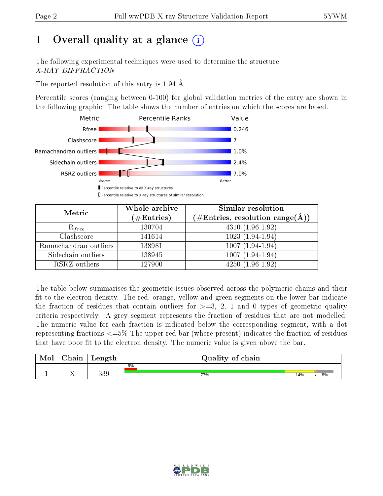# 1 [O](https://www.wwpdb.org/validation/2017/XrayValidationReportHelp#overall_quality)verall quality at a glance  $(i)$

The following experimental techniques were used to determine the structure: X-RAY DIFFRACTION

The reported resolution of this entry is 1.94 Å.

Percentile scores (ranging between 0-100) for global validation metrics of the entry are shown in the following graphic. The table shows the number of entries on which the scores are based.



| Metric                | Whole archive<br>$(\#\mathrm{Entries})$ | Similar resolution<br>$(\#\text{Entries}, \text{resolution range}(\textup{\AA}))$ |
|-----------------------|-----------------------------------------|-----------------------------------------------------------------------------------|
| $R_{free}$            | 130704                                  | $4310(1.96-1.92)$                                                                 |
| Clashscore            | 141614                                  | $1023(1.94-1.94)$                                                                 |
| Ramachandran outliers | 138981                                  | $1007(1.94-1.94)$                                                                 |
| Sidechain outliers    | 138945                                  | $1007(1.94-1.94)$                                                                 |
| RSRZ outliers         | 127900                                  | $4250(1.96-1.92)$                                                                 |

The table below summarises the geometric issues observed across the polymeric chains and their fit to the electron density. The red, orange, yellow and green segments on the lower bar indicate the fraction of residues that contain outliers for  $>=3, 2, 1$  and 0 types of geometric quality criteria respectively. A grey segment represents the fraction of residues that are not modelled. The numeric value for each fraction is indicated below the corresponding segment, with a dot representing fractions  $\epsilon=5\%$  The upper red bar (where present) indicates the fraction of residues that have poor fit to the electron density. The numeric value is given above the bar.

| Mol | $\cap$ hain | Length | Quality of chain |     |    |
|-----|-------------|--------|------------------|-----|----|
|     |             |        | 6%               |     |    |
|     |             | 339    | 77%              | 14% | 8% |

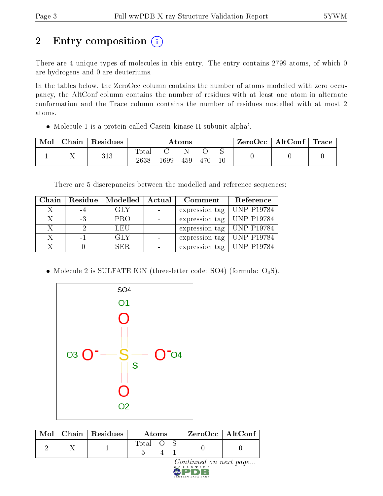# 2 Entry composition (i)

There are 4 unique types of molecules in this entry. The entry contains 2799 atoms, of which 0 are hydrogens and 0 are deuteriums.

In the tables below, the ZeroOcc column contains the number of atoms modelled with zero occupancy, the AltConf column contains the number of residues with at least one atom in alternate conformation and the Trace column contains the number of residues modelled with at most 2 atoms.

Molecule 1 is a protein called Casein kinase II subunit alpha'.

| Mol | Chain | Residues | Atoms               |      |     |     |   | $ZeroOcc \mid AltConf \mid$ | Trace |
|-----|-------|----------|---------------------|------|-----|-----|---|-----------------------------|-------|
|     |       | 313      | $\rm Total$<br>2638 | 1699 | 459 | 470 | ∼ |                             |       |

There are 5 discrepancies between the modelled and reference sequences:

| Chain |      | Residue   Modelled | Actual | Comment                     | Reference |
|-------|------|--------------------|--------|-----------------------------|-----------|
|       | -4   | GLY                |        | expression tag   UNP P19784 |           |
|       | -3   | PRO                |        | expression tag   UNP P19784 |           |
| X     | $-2$ | LEU                |        | expression tag   UNP P19784 |           |
| X     | $-1$ | GLY                |        | expression tag   UNP P19784 |           |
|       |      | SER.               |        | expression tag   UNP P19784 |           |

• Molecule 2 is SULFATE ION (three-letter code: SO4) (formula: O<sub>4</sub>S).



| Total O |  | $\text{Mol}$   Chain   Residues | Atoms |  | $ZeroOcc$   AltConf |
|---------|--|---------------------------------|-------|--|---------------------|
|         |  |                                 |       |  |                     |

 $\mathop{\rm grad}\limits_{{\tt b}\ {\tt w}} {\mathop{\rm vol}\limits_{{\tt b}\ {\tt w}}} \mathop{\rm e}\limits_{{\tt c}} {\mathop{\rm on}}\ \mathop{\rm next}\nolimits\ {\mathop{\rm page}} \dots$ 

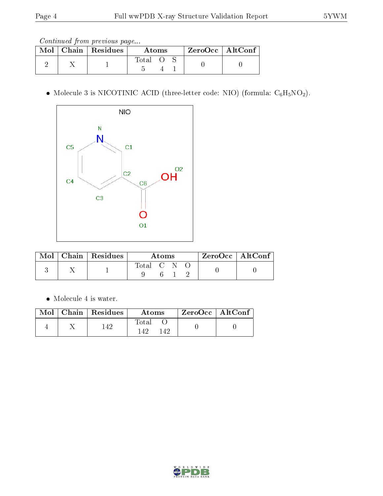Continued from previous page...

|  | $\text{Mol}$   Chain   Residues |       | Atoms |  | $ZeroOcc \mid AltConf \mid$ |
|--|---------------------------------|-------|-------|--|-----------------------------|
|  |                                 | Total |       |  |                             |

 $\bullet$  Molecule 3 is NICOTINIC ACID (three-letter code: NIO) (formula:  $\mathrm{C}_6\mathrm{H}_5\mathrm{NO_2}).$ 



|  | $Mol$   Chain   Residues | A toms      |  | $^+$ ZeroOcc   AltConf $_+$ |  |  |  |
|--|--------------------------|-------------|--|-----------------------------|--|--|--|
|  |                          | Total C N O |  |                             |  |  |  |

• Molecule 4 is water.

|  | $Mol$   Chain   Residues | Atoms                | ZeroOcc   AltConf |  |
|--|--------------------------|----------------------|-------------------|--|
|  | 142                      | Total<br>145<br>149. |                   |  |

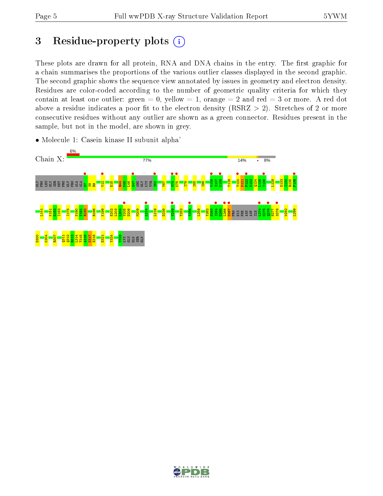# 3 Residue-property plots  $(i)$

These plots are drawn for all protein, RNA and DNA chains in the entry. The first graphic for a chain summarises the proportions of the various outlier classes displayed in the second graphic. The second graphic shows the sequence view annotated by issues in geometry and electron density. Residues are color-coded according to the number of geometric quality criteria for which they contain at least one outlier: green  $= 0$ , yellow  $= 1$ , orange  $= 2$  and red  $= 3$  or more. A red dot above a residue indicates a poor fit to the electron density (RSRZ  $> 2$ ). Stretches of 2 or more consecutive residues without any outlier are shown as a green connector. Residues present in the sample, but not in the model, are shown in grey.



• Molecule 1: Casein kinase II subunit alpha'

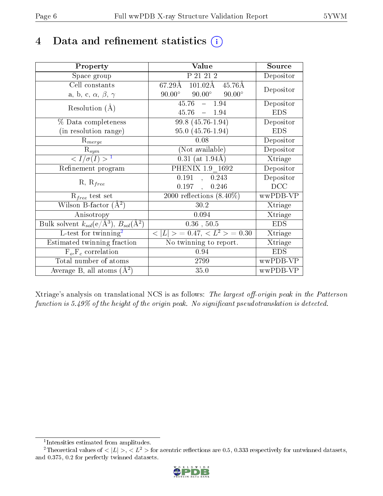# 4 Data and refinement statistics  $(i)$

| Property                                                         | Value                                                  | Source     |
|------------------------------------------------------------------|--------------------------------------------------------|------------|
| Space group                                                      | P 21 21 2                                              | Depositor  |
| Cell constants                                                   | $67.29\text{\AA}$ $101.02\text{\AA}$ $45.76\text{\AA}$ | Depositor  |
| a, b, c, $\alpha$ , $\beta$ , $\gamma$                           | $90.00^{\circ}$<br>$90.00^{\circ}$<br>$90.00^{\circ}$  |            |
| Resolution $(A)$                                                 | $45.76 - 1.94$                                         | Depositor  |
|                                                                  | $45.76 = 1.94$                                         | <b>EDS</b> |
| $\%$ Data completeness                                           | 99.8 (45.76-1.94)                                      | Depositor  |
| (in resolution range)                                            | 95.0 (45.76-1.94)                                      | <b>EDS</b> |
| $R_{merge}$                                                      | 0.08                                                   | Depositor  |
| $\mathrm{R}_{sym}$                                               | (Not available)                                        | Depositor  |
| $\langle I/\sigma(I) \rangle^{-1}$                               | $0.31$ (at 1.94Å)                                      | Xtriage    |
| Refinement program                                               | PHENIX 1.9 1692                                        | Depositor  |
|                                                                  | 0.191<br>0.243                                         | Depositor  |
| $R, R_{free}$                                                    | 0.197,<br>0.246                                        | DCC        |
| $R_{free}$ test set                                              | $2000$ reflections $(8.40\%)$                          | wwPDB-VP   |
| Wilson B-factor $(A^2)$                                          | 30.2                                                   | Xtriage    |
| Anisotropy                                                       | 0.094                                                  | Xtriage    |
| Bulk solvent $k_{sol}(\text{e}/\text{A}^3), B_{sol}(\text{A}^2)$ | $0.36$ , $50.5$                                        | <b>EDS</b> |
| L-test for $\mathrm{twinning}^2$                                 | $< L >$ = 0.47, $< L2 >$ = 0.30                        | Xtriage    |
| Estimated twinning fraction                                      | No twinning to report.                                 | Xtriage    |
| $F_o, F_c$ correlation                                           | 0.94                                                   | <b>EDS</b> |
| Total number of atoms                                            | 2799                                                   | wwPDB-VP   |
| Average B, all atoms $(A^2)$                                     | 35.0                                                   | wwPDB-VP   |

Xtriage's analysis on translational NCS is as follows: The largest off-origin peak in the Patterson function is  $5.49\%$  of the height of the origin peak. No significant pseudotranslation is detected.

<sup>&</sup>lt;sup>2</sup>Theoretical values of  $\langle |L| \rangle$ ,  $\langle L^2 \rangle$  for acentric reflections are 0.5, 0.333 respectively for untwinned datasets, and 0.375, 0.2 for perfectly twinned datasets.



<span id="page-5-1"></span><span id="page-5-0"></span><sup>1</sup> Intensities estimated from amplitudes.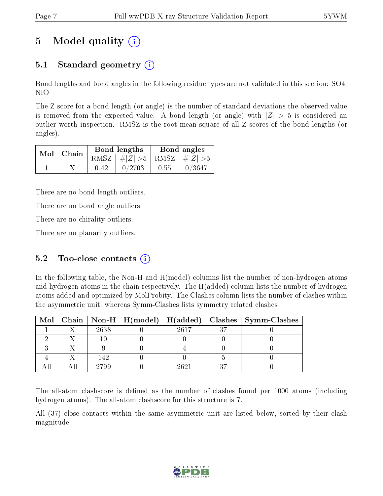# 5 Model quality  $(i)$

## 5.1 Standard geometry  $\overline{()}$

Bond lengths and bond angles in the following residue types are not validated in this section: SO4, NIO

The Z score for a bond length (or angle) is the number of standard deviations the observed value is removed from the expected value. A bond length (or angle) with  $|Z| > 5$  is considered an outlier worth inspection. RMSZ is the root-mean-square of all Z scores of the bond lengths (or angles).

| $Mol$   Chain |      | Bond lengths                    | Bond angles |        |  |
|---------------|------|---------------------------------|-------------|--------|--|
|               |      | RMSZ $ #Z  > 5$ RMSZ $ #Z  > 5$ |             |        |  |
|               | 0.42 | 0/2703                          | 0.55        | 0/3647 |  |

There are no bond length outliers.

There are no bond angle outliers.

There are no chirality outliers.

There are no planarity outliers.

### 5.2 Too-close contacts  $(i)$

In the following table, the Non-H and H(model) columns list the number of non-hydrogen atoms and hydrogen atoms in the chain respectively. The H(added) column lists the number of hydrogen atoms added and optimized by MolProbity. The Clashes column lists the number of clashes within the asymmetric unit, whereas Symm-Clashes lists symmetry related clashes.

|  |      |      | Mol   Chain   Non-H   H(model)   H(added)   Clashes   Symm-Clashes |
|--|------|------|--------------------------------------------------------------------|
|  | 2638 | 2617 |                                                                    |
|  |      |      |                                                                    |
|  |      |      |                                                                    |
|  | 142  |      |                                                                    |
|  | 2799 | 9691 |                                                                    |

The all-atom clashscore is defined as the number of clashes found per 1000 atoms (including hydrogen atoms). The all-atom clashscore for this structure is 7.

All (37) close contacts within the same asymmetric unit are listed below, sorted by their clash magnitude.

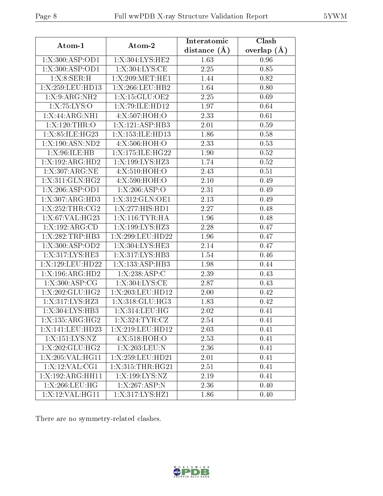| Atom-1              | Atom-2             | Interatomic    | Clash         |
|---------------------|--------------------|----------------|---------------|
|                     |                    | distance $(A)$ | overlap $(A)$ |
| 1:X:300:ASP:OD1     | 1:X:304:LYS:HE2    | 1.63           | 0.96          |
| 1:X:300:ASP:OD1     | 1:X:304:LYS:CE     | 2.25           | 0.85          |
| 1: X:8: SER:H       | 1:X:209:MET:HE1    | 1.44           | 0.82          |
| 1:X:259:LEU:HD13    | 1:X:266:LEU:HB2    | 1.64           | 0.80          |
| 1: X: 9: ARG: NH2   | 1:X:15:GLU:OE2     | 2.25           | 0.69          |
| 1:X:75:LYS:O        | 1:X:79:ILE:HD12    | 1.97           | 0.64          |
| 1:X:44:ARG:NH1      | 4:X:507:HOH:O      | 2.33           | 0.61          |
| 1:X:120:THR:O       | 1:X:121:ASP:HB3    | 2.01           | 0.59          |
| 1:X:85:ILE:HG23     | 1:X:153:ILE:HD13   | 1.86           | 0.58          |
| 1:X:190:ASN:ND2     | 4:X:506:HOH:O      | 2.33           | 0.53          |
| 1: X:96: ILE: HB    | 1:X:175:ILE:HG22   | 1.90           | 0.52          |
| 1:X:192:ARG:HD2     | 1:X:199:LYS:HZ3    | 1.74           | $0.52\,$      |
| 1:X:307:ARG:NE      | 4:X:510:HOH:O      | 2.43           | 0.51          |
| 1:X:311:GLN:HG2     | 4:X:590:HOH:O      | 2.10           | 0.49          |
| 1:X:206:ASP:OD1     | 1:X:206:ASP:O      | 2.31           | 0.49          |
| 1:X:307:ARG:HD3     | 1: X:312: GLN:OE1  | 2.13           | 0.49          |
| 1:X:252:THR:CG2     | 1:X:277:HIS:HDI    | 2.27           | 0.48          |
| 1:X:67:VAL:HG23     | 1:X:116:TYR:HA     | 1.96           | 0.48          |
| 1:X:192:ARG:CD      | 1:X:199:LYS:HZ3    | 2.28           | 0.47          |
| 1:X:282:TRP:HB3     | 1:X:299:LEU:HD22   | 1.96           | 0.47          |
| 1:X:300:ASP:OD2     | 1:X:304:LYS:HE3    | 2.14           | 0.47          |
| 1:X:317:LYS:HE3     | 1:X:317:LYS:HB3    | 1.54           | 0.46          |
| 1:X:129:LEU:HD22    | 1:X:133:ASP:HB3    | 1.98           | 0.44          |
| 1:X:196:ARG:HD2     | 1:X:238:ASP:C      | 2.39           | 0.43          |
| 1: X:300:ASP:CG     | 1:X:304:LYS:CE     | 2.87           | 0.43          |
| 1:X:202:GLU:HG2     | 1:X:203:LEU:HD12   | 2.00           | 0.42          |
| 1:X:317:LYS:HZ3     | 1: X:318: GLU: HG3 | 1.83           | 0.42          |
| 1:X:304:LYS:HB3     | 1:X:314:LEU:HG     | 2.02           | 0.41          |
| 1:X:135:ARG:HG2     | 1:X:324:TYR:CZ     | 2.54           | 0.41          |
| 1:X:141:LEU:HD23    | 1:X:219:LEU:HD12   | 2.03           | 0.41          |
| 1:X:151:LYS:NZ      | 4:X:518:HOH:O      | 2.53           | 0.41          |
| 1: X: 202: GLU: HG2 | 1:X:203:LEU:N      | 2.36           | 0.41          |
| 1:X:205:VAL:HG11    | 1:X:259:LEU:HD21   | 2.01           | 0.41          |
| 1:X:12:VAL:CG1      | 1:X:315:THR:HG21   | 2.51           | 0.41          |
| 1:X:192:ARG:HH11    | 1:X:199:LYS:NZ     | 2.19           | 0.41          |
| $1: X:266:$ LEU:HG  | 1:X:267:ASP:N      | 2.36           | 0.40          |
| 1:X:12:VAL:HG11     | 1:X:317:LYS:HZ1    | 1.86           | 0.40          |

There are no symmetry-related clashes.

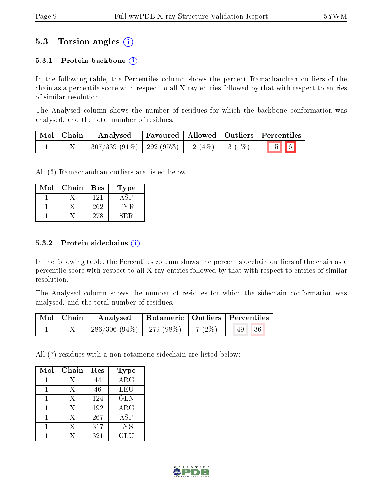### 5.3 Torsion angles (i)

#### 5.3.1 Protein backbone  $(i)$

In the following table, the Percentiles column shows the percent Ramachandran outliers of the chain as a percentile score with respect to all X-ray entries followed by that with respect to entries of similar resolution.

The Analysed column shows the number of residues for which the backbone conformation was analysed, and the total number of residues.

| Mol   Chain | Analysed                                           |  | $\mid$ Favoured $\mid$ Allowed $\mid$ Outliers $\mid$ Percentiles |
|-------------|----------------------------------------------------|--|-------------------------------------------------------------------|
|             | $307/339$ (91\%)   292 (95\%)   12 (4\%)   3 (1\%) |  | $\boxed{15}$ 6                                                    |

All (3) Ramachandran outliers are listed below:

| Mol | Chain | Res | Type |
|-----|-------|-----|------|
|     |       | 121 |      |
|     |       | 262 | TYR  |
|     |       | 278 |      |

#### $5.3.2$  Protein sidechains  $(i)$

In the following table, the Percentiles column shows the percent sidechain outliers of the chain as a percentile score with respect to all X-ray entries followed by that with respect to entries of similar resolution.

The Analysed column shows the number of residues for which the sidechain conformation was analysed, and the total number of residues.

| Mol   Chain | Analysed                                |  | Rotameric   Outliers   Percentiles |  |
|-------------|-----------------------------------------|--|------------------------------------|--|
|             | $286/306 (94\%)$   279 (98\%)   7 (2\%) |  | 36<br>49                           |  |

All (7) residues with a non-rotameric sidechain are listed below:

| Mol | Chain | Res | <b>Type</b> |
|-----|-------|-----|-------------|
|     | Χ     | 44  | $\rm{ARG}$  |
|     | Х     | 46  | LEU         |
|     | Х     | 124 | <b>GLN</b>  |
|     | X     | 192 | ARG         |
|     | X     | 267 | ASP         |
|     | Х     | 317 | <b>LYS</b>  |
|     | Y     | 321 | GLU         |

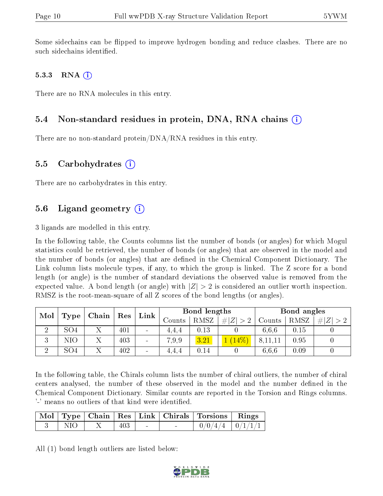Some sidechains can be flipped to improve hydrogen bonding and reduce clashes. There are no such sidechains identified.

#### 5.3.3 RNA  $(i)$

There are no RNA molecules in this entry.

### 5.4 Non-standard residues in protein, DNA, RNA chains  $(i)$

There are no non-standard protein/DNA/RNA residues in this entry.

#### 5.5 Carbohydrates  $(i)$

There are no carbohydrates in this entry.

### 5.6 Ligand geometry  $(i)$

3 ligands are modelled in this entry.

In the following table, the Counts columns list the number of bonds (or angles) for which Mogul statistics could be retrieved, the number of bonds (or angles) that are observed in the model and the number of bonds (or angles) that are dened in the Chemical Component Dictionary. The Link column lists molecule types, if any, to which the group is linked. The Z score for a bond length (or angle) is the number of standard deviations the observed value is removed from the expected value. A bond length (or angle) with  $|Z| > 2$  is considered an outlier worth inspection. RMSZ is the root-mean-square of all Z scores of the bond lengths (or angles).

| Mol                 |                                 |  | $\vert$ Res | Link                     | Bond lengths |                  |        | Bond angles |      |  |
|---------------------|---------------------------------|--|-------------|--------------------------|--------------|------------------|--------|-------------|------|--|
|                     | $\mid$ Type $\mid$ Chain $\mid$ |  |             | Counts                   | RMSZ         | # $ Z  > 2^{-1}$ | Counts | RMSZ        | H  Z |  |
| - 69                | SO4                             |  | 401         | $\overline{\phantom{a}}$ | 4.4.4        | 0.13             |        | 6.6.6       | 0.15 |  |
| $\mathbf{Q}$<br>- 1 | NΙO                             |  | 403         | $\overline{\phantom{a}}$ | 7.9.9        | 3.21             |        | 8,11,11     | 0.95 |  |
| ച                   | SO <sub>4</sub>                 |  | 402         | $\overline{\phantom{a}}$ | 4.4.4        | 0.14             |        | 6.6.6       | 0.09 |  |

In the following table, the Chirals column lists the number of chiral outliers, the number of chiral centers analysed, the number of these observed in the model and the number defined in the Chemical Component Dictionary. Similar counts are reported in the Torsion and Rings columns. '-' means no outliers of that kind were identified.

|      |     |  | Mol   Type   Chain   Res   Link   Chirals   Torsions   Rings |  |
|------|-----|--|--------------------------------------------------------------|--|
| NIO. | 403 |  | $0/0/4/4$ $0/1/1/1$                                          |  |

All (1) bond length outliers are listed below:

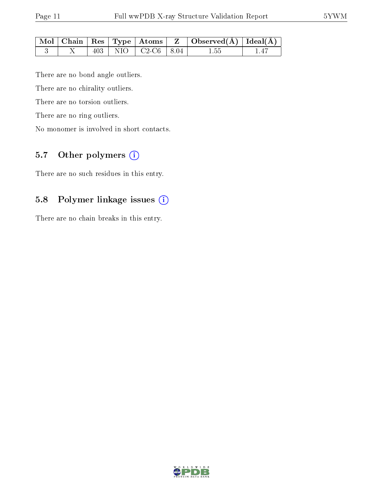|  |     |                                        | $\mid$ Mol $\mid$ Chain $\mid$ Res $\mid$ Type $\mid$ Atoms $\mid$ Z $\mid$ Observed(A) $\mid$ Ideal(A) $\mid$ |  |
|--|-----|----------------------------------------|----------------------------------------------------------------------------------------------------------------|--|
|  | 403 | $\vert$ NIO $\vert$ C2-C6 $\vert$ 8.04 | 1.55                                                                                                           |  |

There are no bond angle outliers.

There are no chirality outliers.

There are no torsion outliers.

There are no ring outliers.

No monomer is involved in short contacts.

### 5.7 [O](https://www.wwpdb.org/validation/2017/XrayValidationReportHelp#nonstandard_residues_and_ligands)ther polymers  $(i)$

There are no such residues in this entry.

### 5.8 Polymer linkage issues (i)

There are no chain breaks in this entry.

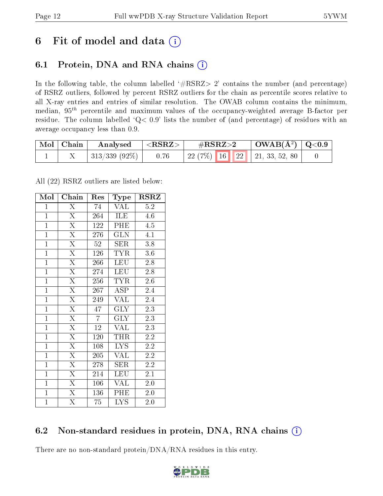## 6 Fit of model and data  $(i)$

## 6.1 Protein, DNA and RNA chains  $(i)$

In the following table, the column labelled  $#RSRZ> 2'$  contains the number (and percentage) of RSRZ outliers, followed by percent RSRZ outliers for the chain as percentile scores relative to all X-ray entries and entries of similar resolution. The OWAB column contains the minimum, median,  $95<sup>th</sup>$  percentile and maximum values of the occupancy-weighted average B-factor per residue. The column labelled ' $Q< 0.9$ ' lists the number of (and percentage) of residues with an average occupancy less than 0.9.

| Mol   Chain | Analysed       | $<$ RSRZ $>$ | $\rm \#RSRZ{>}2$                    | $\mid$ OWAB(Å <sup>2</sup> ) $\mid$ Q<0.9 |  |
|-------------|----------------|--------------|-------------------------------------|-------------------------------------------|--|
|             | 313/339 (92\%) | 0.76         | 22 (7\%)   16   22   21, 33, 52, 80 |                                           |  |

All (22) RSRZ outliers are listed below:

| Mol            | Chain                   | Res            | Type                    | <b>RSRZ</b>      |
|----------------|-------------------------|----------------|-------------------------|------------------|
| $\mathbf{1}$   | $\overline{\mathrm{X}}$ | 74             | <b>VAL</b>              | 5.2              |
| $\overline{1}$ | $\overline{\mathrm{X}}$ | 264            | ILE                     | 4.6              |
| $\overline{1}$ | $\overline{\mathrm{X}}$ | 122            | PHE                     | 4.5              |
| $\overline{1}$ | $\overline{\mathrm{X}}$ | 276            | <b>GLN</b>              | 4.1              |
| $\overline{1}$ | $\overline{\mathrm{X}}$ | $52\,$         | $\overline{\text{SER}}$ | $\overline{3.8}$ |
| $\mathbf{1}$   | $\overline{\mathrm{X}}$ | 126            | <b>TYR</b>              | $3.6\,$          |
| $\overline{1}$ | $\overline{\mathrm{X}}$ | 266            | <b>LEU</b>              | 2.8              |
| $\mathbf{1}$   | $\overline{\mathrm{X}}$ | 274            | <b>LEU</b>              | 2.8              |
| $\mathbf{1}$   | $\overline{\mathrm{X}}$ | 256            | <b>TYR</b>              | 2.6              |
| $\overline{1}$ | $\overline{\mathrm{X}}$ | 267            | $\overline{\text{ASP}}$ | 2.4              |
| $\overline{1}$ | $\overline{\mathrm{X}}$ | 249            | <b>VAL</b>              | $2.\overline{4}$ |
| $\overline{1}$ | $\overline{\mathrm{X}}$ | 47             | <b>GLY</b>              | 2.3              |
| $\mathbf{1}$   | $\overline{\mathrm{X}}$ | $\overline{7}$ | $\overline{\text{GLY}}$ | $\overline{2.3}$ |
| $\mathbf{1}$   | $\overline{\mathrm{X}}$ | 12             | <b>VAL</b>              | 2.3              |
| $\overline{1}$ | $\overline{\mathrm{X}}$ | 120            | THR                     | 2.2              |
| $\overline{1}$ | $\overline{\mathrm{X}}$ | 108            | <b>LYS</b>              | $\overline{2.2}$ |
| $\overline{1}$ | $\overline{\mathrm{X}}$ | 205            | VAL                     | 2.2              |
| $\overline{1}$ | $\overline{\mathrm{X}}$ | 278            | <b>SER</b>              | 2.2              |
| $\mathbf{1}$   | $\overline{\mathrm{X}}$ | 214            | LEU                     | 2.1              |
| $\overline{1}$ | $\overline{\mathrm{X}}$ | 106            | VAL                     | 2.0              |
| $\mathbf{1}$   | $\overline{\mathrm{X}}$ | 136            | PHE                     | 2.0              |
| $\mathbf{1}$   | $\overline{\mathrm{X}}$ | 75             | <b>LYS</b>              | 2.0              |

### 6.2 Non-standard residues in protein, DNA, RNA chains  $(i)$

There are no non-standard protein/DNA/RNA residues in this entry.